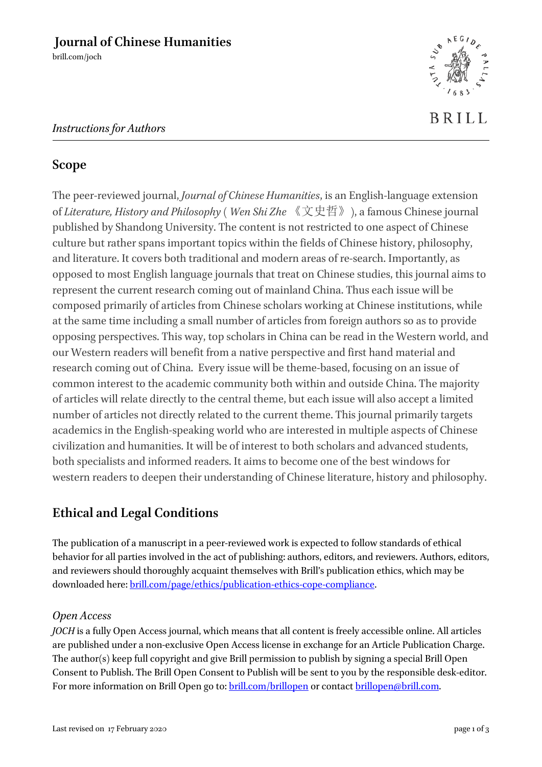brill.com/joch

# *Instructions for Authors*



### **Scope**

The peer-reviewed journal, *Journal of Chinese Humanities*, is an English-language extension of *Literature, History and Philosophy* ( *Wen Shi Zhe* 《文史哲》), a famous Chinese journal published by Shandong University. The content is not restricted to one aspect of Chinese culture but rather spans important topics within the fields of Chinese history, philosophy, and literature. It covers both traditional and modern areas of re-search. Importantly, as opposed to most English language journals that treat on Chinese studies, this journal aims to represent the current research coming out of mainland China. Thus each issue will be composed primarily of articles from Chinese scholars working at Chinese institutions, while at the same time including a small number of articles from foreign authors so as to provide opposing perspectives. This way, top scholars in China can be read in the Western world, and our Western readers will benefit from a native perspective and first hand material and research coming out of China. Every issue will be theme-based, focusing on an issue of common interest to the academic community both within and outside China. The majority of articles will relate directly to the central theme, but each issue will also accept a limited number of articles not directly related to the current theme. This journal primarily targets academics in the English-speaking world who are interested in multiple aspects of Chinese civilization and humanities. It will be of interest to both scholars and advanced students, both specialists and informed readers. It aims to become one of the best windows for western readers to deepen their understanding of Chinese literature, history and philosophy.

## **Ethical and Legal Conditions**

The publication of a manuscript in a peer-reviewed work is expected to follow standards of ethical behavior for all parties involved in the act of publishing: authors, editors, and reviewers. Authors, editors, and reviewers should thoroughly acquaint themselves with Brill's publication ethics, which may be downloaded here[: brill.com/page/ethics/publication-ethics-cope-compliance.](https://brill.com/page/ethics/publication-ethics-cope-compliance)

#### *Open Access*

*JOCH* is a fully Open Access journal, which means that all content is freely accessible online. All articles are published under a non-exclusive Open Access license in exchange for an Article Publication Charge. The author(s) keep full copyright and give Brill permission to publish by signing a special Brill Open Consent to Publish. The Brill Open Consent to Publish will be sent to you by the responsible desk-editor. For more information on Brill Open go to[: brill.com/brillopen](mailto:brill.com/brillopen) or contac[t brillopen@brill.com.](mailto:brillopen@brill.com)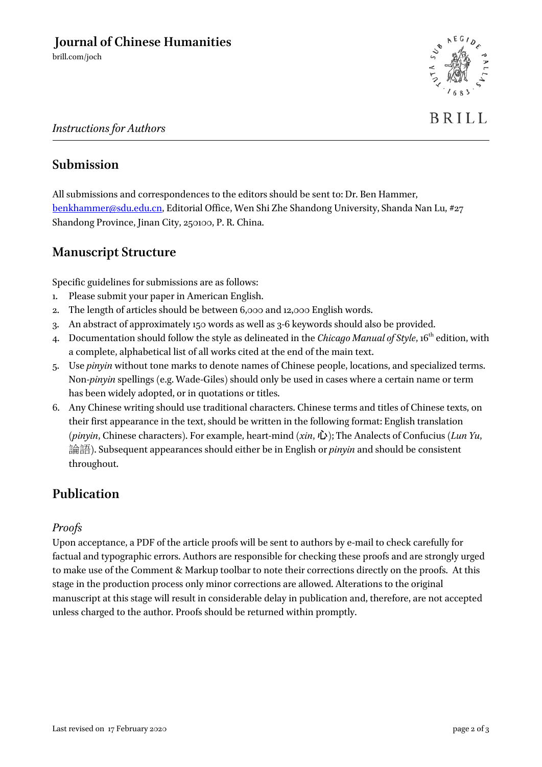brill.com/joch



#### *Instructions for Authors*

#### **Submission**

All submissions and correspondences to the editors should be sent to: Dr. Ben Hammer, [benkhammer@sdu.edu.cn,](mailto:benkhammer@sdu.edu.cn) Editorial Office, Wen Shi Zhe Shandong University, Shanda Nan Lu, #27 Shandong Province, Jinan City, 250100, P. R. China.

## **Manuscript Structure**

Specific guidelines for submissions are as follows:

- 1. Please submit your paper in American English.
- 2. The length of articles should be between 6,000 and 12,000 English words.
- 3. An abstract of approximately 150 words as well as 3-6 keywords should also be provided.
- 4. Documentation should follow the style as delineated in the *Chicago Manual of Style*, 16<sup>th</sup> edition, with a complete, alphabetical list of all works cited at the end of the main text.
- 5. Use *pinyin* without tone marks to denote names of Chinese people, locations, and specialized terms. Non-*pinyin* spellings (e.g. Wade-Giles) should only be used in cases where a certain name or term has been widely adopted, or in quotations or titles.
- 6. Any Chinese writing should use traditional characters. Chinese terms and titles of Chinese texts, on their first appearance in the text, should be written in the following format: English translation (*pinyin*, Chinese characters). For example, heart-mind (*xin*, 心); The Analects of Confucius (*Lun Yu*, 論語). Subsequent appearances should either be in English or *pinyin* and should be consistent throughout.

### **Publication**

#### *Proofs*

Upon acceptance, a PDF of the article proofs will be sent to authors by e-mail to check carefully for factual and typographic errors. Authors are responsible for checking these proofs and are strongly urged to make use of the Comment & Markup toolbar to note their corrections directly on the proofs. At this stage in the production process only minor corrections are allowed. Alterations to the original manuscript at this stage will result in considerable delay in publication and, therefore, are not accepted unless charged to the author. Proofs should be returned within promptly.